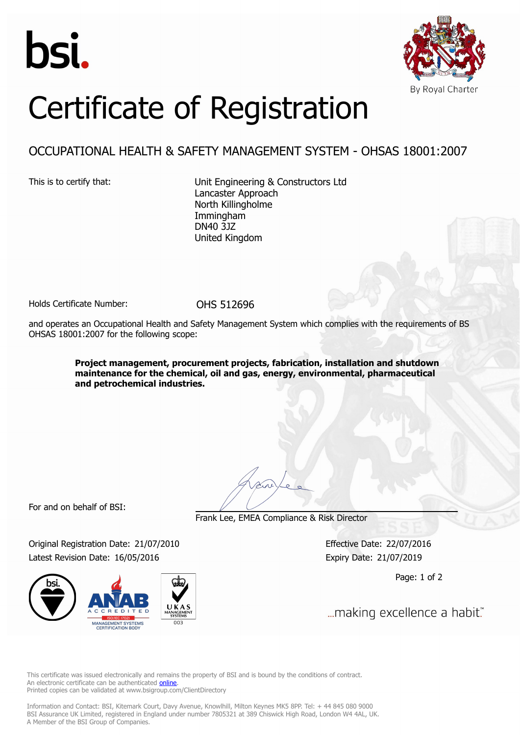



## Certificate of Registration

## OCCUPATIONAL HEALTH & SAFETY MANAGEMENT SYSTEM - OHSAS 18001:2007

This is to certify that: Unit Engineering & Constructors Ltd Lancaster Approach North Killingholme Immingham DN40 3JZ United Kingdom

Holds Certificate Number: 0HS 512696

and operates an Occupational Health and Safety Management System which complies with the requirements of BS OHSAS 18001:2007 for the following scope:

> **Project management, procurement projects, fabrication, installation and shutdown maintenance for the chemical, oil and gas, energy, environmental, pharmaceutical and petrochemical industries.**

For and on behalf of BSI:

Frank Lee, EMEA Compliance & Risk Director

Original Registration Date: 21/07/2010 Effective Date: 22/07/2016 Latest Revision Date: 16/05/2016 Expiry Date: 21/07/2019



Page: 1 of 2

... making excellence a habit."

This certificate was issued electronically and remains the property of BSI and is bound by the conditions of contract. An electronic certificate can be authenticated **[online](https://pgplus.bsigroup.com/CertificateValidation/CertificateValidator.aspx?CertificateNumber=OHS+512696&ReIssueDate=16%2f05%2f2016&Template=uk)**. Printed copies can be validated at www.bsigroup.com/ClientDirectory

Information and Contact: BSI, Kitemark Court, Davy Avenue, Knowlhill, Milton Keynes MK5 8PP. Tel: + 44 845 080 9000 BSI Assurance UK Limited, registered in England under number 7805321 at 389 Chiswick High Road, London W4 4AL, UK. A Member of the BSI Group of Companies.